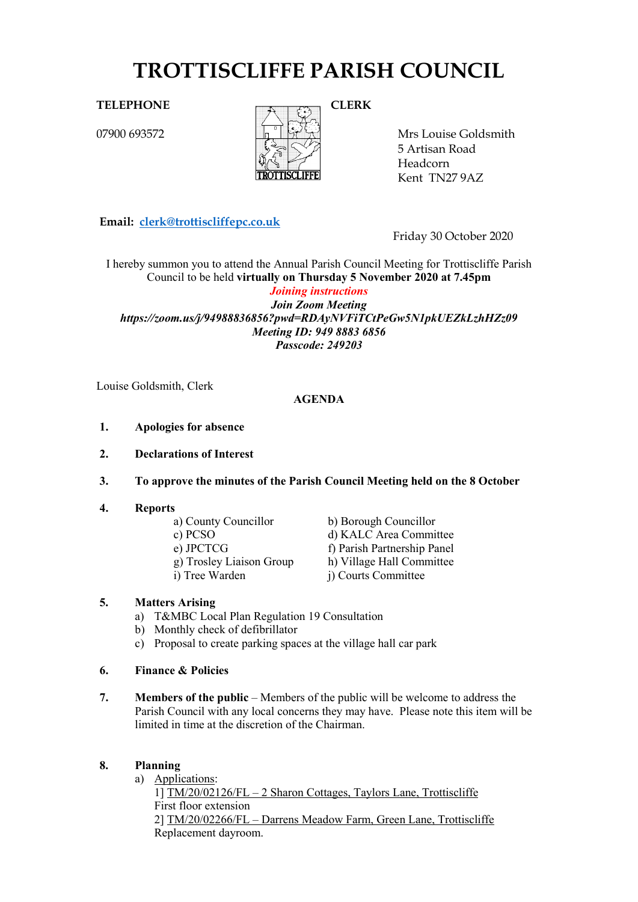# **TROTTISCLIFFE PARISH COUNCIL**

**CLERK**

# **TELEPHONE**

07900 693572



Mrs Louise Goldsmith 5 Artisan Road Headcorn Kent TN279AZ

**Email: [clerk@trottiscliffepc.co.uk](mailto:clerk@trottiscliffepc.co.uk)**

Friday 30 October 2020

I hereby summon you to attend the Annual Parish Council Meeting for Trottiscliffe Parish Council to be held **virtually on Thursday 5 November 2020 at 7.45pm** *Joining instructions* 

*Join Zoom Meeting https://zoom.us/j/94988836856?pwd=RDAyNVFiTCtPeGw5N1pkUEZkLzhHZz09 Meeting ID: 949 8883 6856 Passcode: 249203*

Louise Goldsmith, Clerk

# **AGENDA**

- **1. Apologies for absence**
- **2. Declarations of Interest**
- **3.** To approve the minutes of the Parish Council Meeting held on the 8 October
- **4. Reports**
	- a) County Councillor b) Borough Councillor
	-
	-

c) PCSO d) KALC Area Committee e) JPCTCG<br>
g) Trosley Liaison Group<br>
h) Village Hall Committee h) Village Hall Committee i) Tree Warden j) Courts Committee

## **5. Matters Arising**

- a) T&MBC Local Plan Regulation 19 Consultation
- b) Monthly check of defibrillator
- c) Proposal to create parking spaces at the village hall car park
- **6. Finance & Policies**
- **7.** Members of the public Members of the public will be welcome to address the Parish Council with any local concerns they may have. Please note this item will be limited in time at the discretion of the Chairman.

## **8. Planning**

- a) Applications:
	- 1] TM/20/02126/FL 2 Sharon Cottages, Taylors Lane, Trottiscliffe First floor extension 2] TM/20/02266/FL – Darrens Meadow Farm, Green Lane, Trottiscliffe Replacement dayroom.